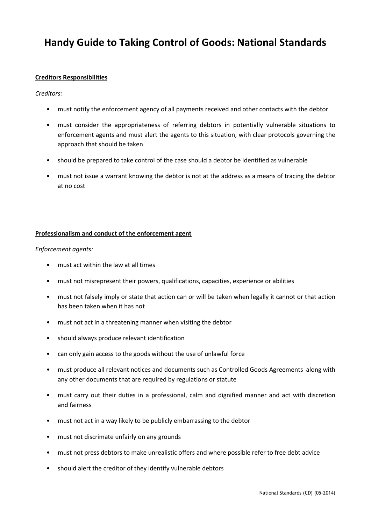# Handy Guide to Taking Control of Goods: National Standards

## Creditors Responsibilities

#### Creditors:

- must notify the enforcement agency of all payments received and other contacts with the debtor
- must consider the appropriateness of referring debtors in potentially vulnerable situations to enforcement agents and must alert the agents to this situation, with clear protocols governing the approach that should be taken
- should be prepared to take control of the case should a debtor be identified as vulnerable
- must not issue a warrant knowing the debtor is not at the address as a means of tracing the debtor at no cost

#### Professionalism and conduct of the enforcement agent

#### Enforcement agents:

- must act within the law at all times
- must not misrepresent their powers, qualifications, capacities, experience or abilities
- must not falsely imply or state that action can or will be taken when legally it cannot or that action has been taken when it has not
- must not act in a threatening manner when visiting the debtor
- should always produce relevant identification
- can only gain access to the goods without the use of unlawful force
- must produce all relevant notices and documents such as Controlled Goods Agreements along with any other documents that are required by regulations or statute
- must carry out their duties in a professional, calm and dignified manner and act with discretion and fairness
- must not act in a way likely to be publicly embarrassing to the debtor
- must not discrimate unfairly on any grounds
- must not press debtors to make unrealistic offers and where possible refer to free debt advice
- should alert the creditor of they identify vulnerable debtors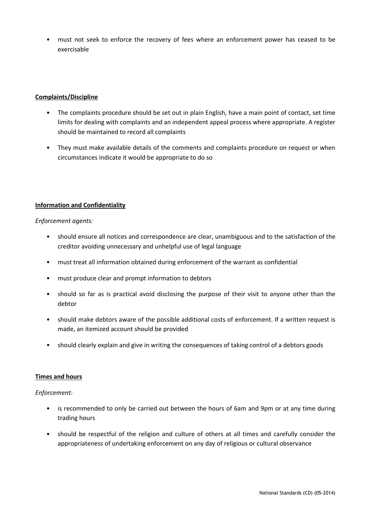• must not seek to enforce the recovery of fees where an enforcement power has ceased to be exercisable

# Complaints/Discipline

- The complaints procedure should be set out in plain English, have a main point of contact, set time limits for dealing with complaints and an independent appeal process where appropriate. A register should be maintained to record all complaints
- They must make available details of the comments and complaints procedure on request or when circumstances indicate it would be appropriate to do so

# Information and Confidentiality

Enforcement agents:

- should ensure all notices and correspondence are clear, unambiguous and to the satisfaction of the creditor avoiding unnecessary and unhelpful use of legal language
- must treat all information obtained during enforcement of the warrant as confidential
- must produce clear and prompt information to debtors
- should so far as is practical avoid disclosing the purpose of their visit to anyone other than the debtor
- should make debtors aware of the possible additional costs of enforcement. If a written request is made, an itemized account should be provided
- should clearly explain and give in writing the consequences of taking control of a debtors goods

## Times and hours

Enforcement:

- is recommended to only be carried out between the hours of 6am and 9pm or at any time during trading hours
- should be respectful of the religion and culture of others at all times and carefully consider the appropriateness of undertaking enforcement on any day of religious or cultural observance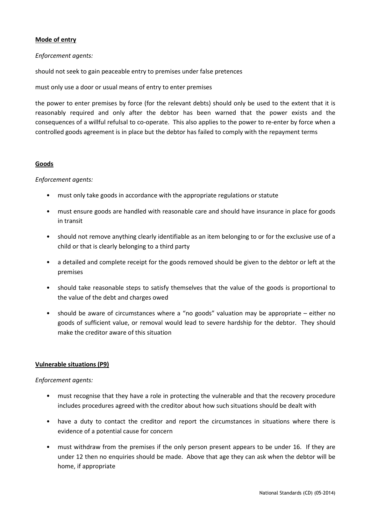# Mode of entry

## Enforcement agents:

should not seek to gain peaceable entry to premises under false pretences

must only use a door or usual means of entry to enter premises

the power to enter premises by force (for the relevant debts) should only be used to the extent that it is reasonably required and only after the debtor has been warned that the power exists and the consequences of a willful refulsal to co-operate. This also applies to the power to re-enter by force when a controlled goods agreement is in place but the debtor has failed to comply with the repayment terms

## Goods

# Enforcement agents:

- must only take goods in accordance with the appropriate regulations or statute
- must ensure goods are handled with reasonable care and should have insurance in place for goods in transit
- should not remove anything clearly identifiable as an item belonging to or for the exclusive use of a child or that is clearly belonging to a third party
- a detailed and complete receipt for the goods removed should be given to the debtor or left at the premises
- should take reasonable steps to satisfy themselves that the value of the goods is proportional to the value of the debt and charges owed
- should be aware of circumstances where a "no goods" valuation may be appropriate either no goods of sufficient value, or removal would lead to severe hardship for the debtor. They should make the creditor aware of this situation

## Vulnerable situations (P9)

## Enforcement agents:

- must recognise that they have a role in protecting the vulnerable and that the recovery procedure includes procedures agreed with the creditor about how such situations should be dealt with
- have a duty to contact the creditor and report the circumstances in situations where there is evidence of a potential cause for concern
- must withdraw from the premises if the only person present appears to be under 16. If they are under 12 then no enquiries should be made. Above that age they can ask when the debtor will be home, if appropriate